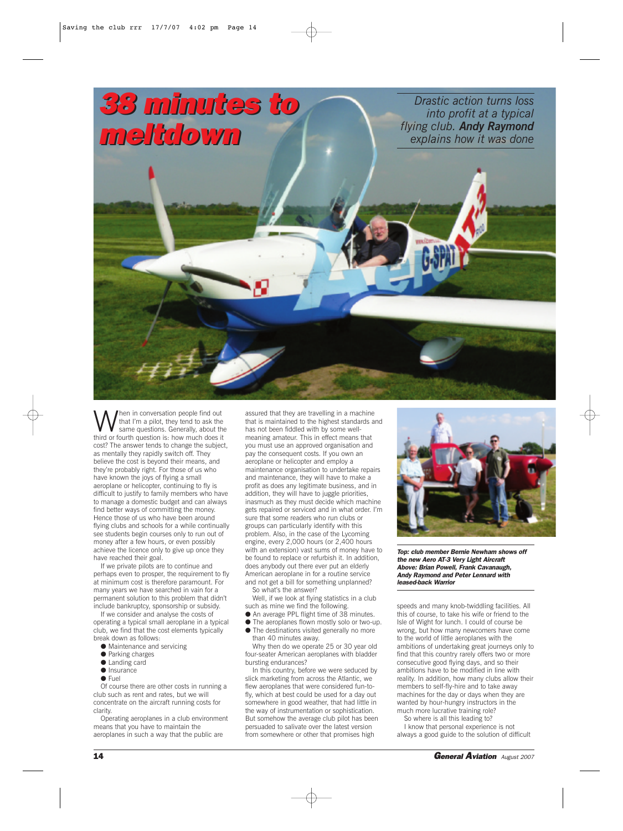

When in conversation people find out<br>
same questions. Generally, about the<br>
third or fourth question is bour much about the that I'm a pilot, they tend to ask the third or fourth question is: how much does it cost? The answer tends to change the subject, as mentally they rapidly switch off. They believe the cost is beyond their means, and they're probably right. For those of us who have known the joys of flying a small aeroplane or helicopter, continuing to fly is difficult to justify to family members who have to manage a domestic budget and can always find better ways of committing the money. Hence those of us who have been around flying clubs and schools for a while continually see students begin courses only to run out of money after a few hours, or even possibly achieve the licence only to give up once they have reached their goal.

If we private pilots are to continue and perhaps even to prosper, the requirement to fly at minimum cost is therefore paramount. For many years we have searched in vain for a permanent solution to this problem that didn't include bankruptcy, sponsorship or subsidy.

If we consider and analyse the costs of operating a typical small aeroplane in a typical club, we find that the cost elements typically

- break down as follows:
	- Maintenance and servicing ● Parking charges
	-
	- Landing card
- Insurance
- Fuel

Of course there are other costs in running a club such as rent and rates, but we will concentrate on the aircraft running costs for clarity.

Operating aeroplanes in a club environment means that you have to maintain the aeroplanes in such a way that the public are

assured that they are travelling in a machine that is maintained to the highest standards and has not been fiddled with by some wellmeaning amateur. This in effect means that you must use an approved organisation and pay the consequent costs. If you own an aeroplane or helicopter and employ a maintenance organisation to undertake repairs and maintenance, they will have to make a profit as does any legitimate business, and in addition, they will have to juggle priorities, inasmuch as they must decide which machine gets repaired or serviced and in what order. I'm sure that some readers who run clubs or groups can particularly identify with this problem. Also, in the case of the Lycoming engine, every 2,000 hours (or 2,400 hours with an extension) vast sums of money have to be found to replace or refurbish it. In addition, does anybody out there ever put an elderly American aeroplane in for a routine service and not get a bill for something unplanned? So what's the answer?

Well, if we look at flying statistics in a club such as mine we find the following.

- An average PPL flight time of 38 minutes.
- The aeroplanes flown mostly solo or two-up. ● The destinations visited generally no more than 40 minutes away.

Why then do we operate 25 or 30 year old four-seater American aeroplanes with bladder bursting endurances?

In this country, before we were seduced by slick marketing from across the Atlantic, we flew aeroplanes that were considered fun-tofly, which at best could be used for a day out somewhere in good weather, that had little in the way of instrumentation or sophistication. But somehow the average club pilot has been persuaded to salivate over the latest version from somewhere or other that promises high



*Top: club member Bernie Newham shows off the new Aero AT-3 Very Light Aircraft Above: Brian Powell, Frank Cavanaugh, Andy Raymond and Peter Lennard with leased-back Warrior*

speeds and many knob-twiddling facilities. All this of course, to take his wife or friend to the Isle of Wight for lunch. I could of course be wrong, but how many newcomers have come to the world of little aeroplanes with the ambitions of undertaking great journeys only to find that this country rarely offers two or more consecutive good flying days, and so their ambitions have to be modified in line with reality. In addition, how many clubs allow their members to self-fly-hire and to take away machines for the day or days when they are wanted by hour-hungry instructors in the much more lucrative training role?

So where is all this leading to? I know that personal experience is not always a good guide to the solution of difficult

**14 General Aviation** *August 2007*